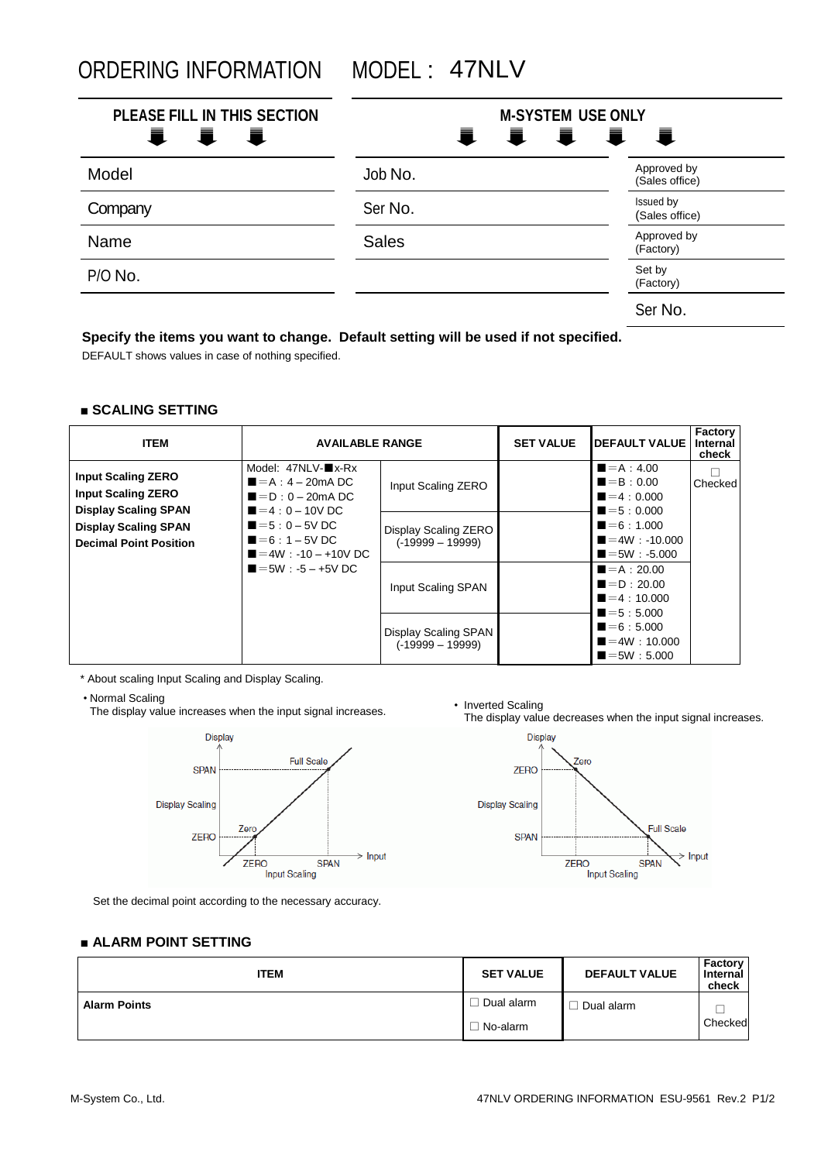ORDERING INFORMATION MODEL : 47NLV

| PLEASE FILL IN THIS SECTION<br>i i i | <b>M-SYSTEM USE ONLY</b> | I I I I                       |
|--------------------------------------|--------------------------|-------------------------------|
| Model                                | Job No.                  | Approved by<br>(Sales office) |
| Company                              | Ser No.                  | Issued by<br>(Sales office)   |
| <b>Name</b>                          | <b>Sales</b>             | Approved by<br>(Factory)      |
| P/O No.                              |                          | Set by<br>(Factory)           |
|                                      |                          | Ser No.                       |

# **Specify the items you want to change. Default setting will be used if not specified.**

DEFAULT shows values in case of nothing specified.

### **■ SCALING SETTING**

| <b>ITEM</b>                                                                           | <b>AVAILABLE RANGE</b>                                                                                                        |                                            | <b>SET VALUE</b> | <b>IDEFAULT VALUE</b>                                                                | Factory<br>Internal<br>check |
|---------------------------------------------------------------------------------------|-------------------------------------------------------------------------------------------------------------------------------|--------------------------------------------|------------------|--------------------------------------------------------------------------------------|------------------------------|
| <b>Input Scaling ZERO</b><br><b>Input Scaling ZERO</b><br><b>Display Scaling SPAN</b> | Model: 47NLV-■x-Rx<br>$\blacksquare = A : 4 - 20 \text{mA}$ DC<br>$\blacksquare = D : 0 - 20 \text{ mA} D C$<br>$=4:0-10V$ DC | Input Scaling ZERO                         |                  | $= A : 4.00$<br>$\blacksquare = \mathsf{B} : 0.00$<br>$=4:0.000$<br>$= 5 : 0.000$    | Checked                      |
| <b>Display Scaling SPAN</b><br><b>Decimal Point Position</b>                          | $= 5 : 0 - 5V$ DC<br>$=6:1-5V$ DC<br>$=4W$ : -10 - +10V DC<br>$=5W : -5 - +5V DC$                                             | Display Scaling ZERO<br>$(-19999 - 19999)$ |                  | $\blacksquare = 6 : 1.000$<br>$=4W: -10.000$<br>$\blacksquare = 5W : -5.000$         |                              |
|                                                                                       |                                                                                                                               | Input Scaling SPAN                         |                  | $= A : 20.00$<br>$\blacksquare = \blacksquare$ : 20.00<br>$=4:10.000$<br>$= 5:5.000$ |                              |
|                                                                                       |                                                                                                                               | Display Scaling SPAN<br>$(-19999 - 19999)$ |                  | $= 6:5.000$<br>$=4W:10.000$<br>$=5W:5.000$                                           |                              |

\* About scaling Input Scaling and Display Scaling.

• Normal Scaling

The display value increases when the input signal increases.



• Inverted Scaling<br>The display value decreases when the input signal increases.



Set the decimal point according to the necessary accuracy.

### **■ ALARM POINT SETTING**

| <b>ITEM</b>         | <b>SET VALUE</b> | <b>DEFAULT VALUE</b> | Factory<br>Internal<br>check |
|---------------------|------------------|----------------------|------------------------------|
| <b>Alarm Points</b> | Dual alarm       | Dual alarm           |                              |
|                     | No-alarm         |                      | Checked                      |